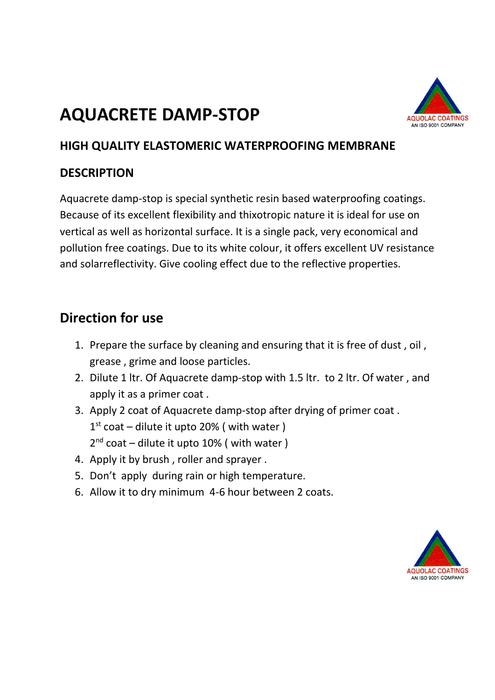# **AQUACRETE DAMP-STOP**



#### **HIGH QUALITY ELASTOMERIC WATERPROOFING MEMBRANE**

#### **DESCRIPTION**

Aquacrete damp-stop is special synthetic resin based waterproofing coatings. Because of its excellent flexibility and thixotropic nature it is ideal for use on vertical as well as horizontal surface. It is a single pack, very economical and pollution free coatings. Due to its white colour, it offers excellent UV resistance and solarreflectivity. Give cooling effect due to the reflective properties.

#### **Direction for use**

- 1. Prepare the surface by cleaning and ensuring that it is free of dust , oil , grease , grime and loose particles.
- 2. Dilute 1 ltr. Of Aquacrete damp-stop with 1.5 ltr. to 2 ltr. Of water , and apply it as a primer coat .
- 3. Apply 2 coat of Aquacrete damp-stop after drying of primer coat . 1<sup>st</sup> coat – dilute it upto 20% ( with water ) 2<sup>nd</sup> coat - dilute it upto 10% ( with water )
- 4. Apply it by brush , roller and sprayer .
- 5. Don't apply during rain or high temperature.
- 6. Allow it to dry minimum 4-6 hour between 2 coats.